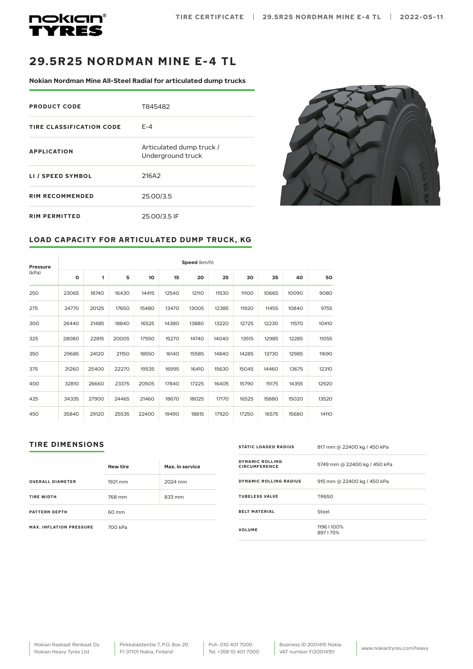



## **29.5R25 NORDMAN MINE E-4 TL**

**Nokian Nordman Mine All-Steel Radial for articulated dump trucks** 

| <b>PRODUCT CODE</b>      | T845482                                       |
|--------------------------|-----------------------------------------------|
| TIRE CLASSIFICATION CODE | $F - 4$                                       |
| <b>APPLICATION</b>       | Articulated dump truck /<br>Underground truck |
| LI / SPEED SYMBOL        | 216A2                                         |
| <b>RIM RECOMMENDED</b>   | 25.00/3.5                                     |
| <b>RIM PERMITTED</b>     | 25.00/3.5 IF                                  |



## **LOAD CAPACITY FOR ARTICULATED DUMP TRUCK, KG**

| <b>Pressure</b> |         | Speed (km/h) |       |                                        |       |       |       |       |       |       |       |
|-----------------|---------|--------------|-------|----------------------------------------|-------|-------|-------|-------|-------|-------|-------|
| (kPa)           | $\circ$ | 1            | 5     | 10<br>20<br>35<br>40<br>15<br>25<br>30 |       |       |       |       |       | 50    |       |
| 250             | 23065   | 18740        | 16430 | 14415                                  | 12540 | 12110 | 11530 | 11100 | 10665 | 10090 | 9080  |
| 275             | 24770   | 20125        | 17650 | 15480                                  | 13470 | 13005 | 12385 | 11920 | 11455 | 10840 | 9755  |
| 300             | 26440   | 21485        | 18840 | 16525                                  | 14380 | 13880 | 13220 | 12725 | 12230 | 11570 | 10410 |
| 325             | 28080   | 22815        | 20005 | 17550                                  | 15270 | 14740 | 14040 | 13515 | 12985 | 12285 | 11055 |
| 350             | 29685   | 24120        | 21150 | 18550                                  | 16140 | 15585 | 14840 | 14285 | 13730 | 12985 | 11690 |
| 375             | 31260   | 25400        | 22270 | 19535                                  | 16995 | 16410 | 15630 | 15045 | 14460 | 13675 | 12310 |
| 400             | 32810   | 26660        | 23375 | 20505                                  | 17840 | 17225 | 16405 | 15790 | 15175 | 14355 | 12920 |
| 425             | 34335   | 27900        | 24465 | 21460                                  | 18670 | 18025 | 17170 | 16525 | 15880 | 15020 | 13520 |
| 450             | 35840   | 29120        | 25535 | 22400                                  | 19490 | 18815 | 17920 | 17250 | 16575 | 15680 | 14110 |

## **TIRE DIMENSIONS**

|                                | <b>New tire</b> | Max. in service |  |  |
|--------------------------------|-----------------|-----------------|--|--|
| <b>OVERALL DIAMETER</b>        | 1921 mm         | 2024 mm         |  |  |
| <b>TIRE WIDTH</b>              | 768 mm          | 833 mm          |  |  |
| <b>PATTERN DEPTH</b>           | 60 mm           |                 |  |  |
| <b>MAX. INFLATION PRESSURE</b> | 700 kPa         |                 |  |  |

| <b>STATIC LOADED RADIUS</b>             | 817 mm @ 22400 kg / 450 kPa  |
|-----------------------------------------|------------------------------|
| DYNAMIC ROLLING<br><b>CIRCUMFERENCE</b> | 5749 mm @ 22400 kg / 450 kPa |
| DYNAMIC ROLLING RADIUS                  | 915 mm @ 22400 kg / 450 kPa  |
| <b>TUBELESS VALVE</b>                   | <b>TR650</b>                 |
| <b>BELT MATERIAL</b>                    | Steel                        |
| <b>VOLUME</b>                           | 1196   100%<br>897175%       |